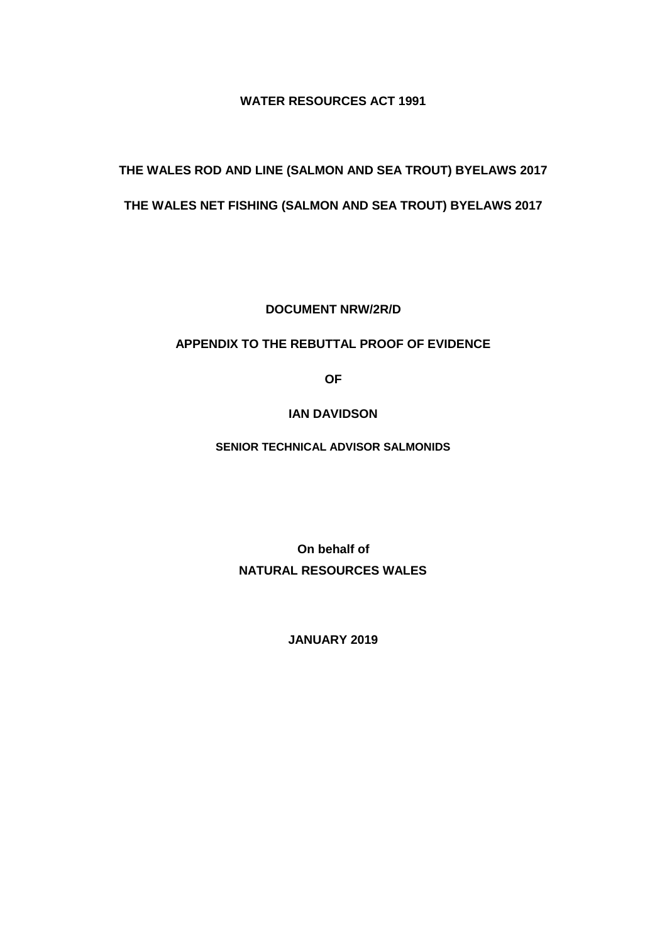## **WATER RESOURCES ACT 1991**

# **THE WALES ROD AND LINE (SALMON AND SEA TROUT) BYELAWS 2017**

## **THE WALES NET FISHING (SALMON AND SEA TROUT) BYELAWS 2017**

**DOCUMENT NRW/2R/D**

## **APPENDIX TO THE REBUTTAL PROOF OF EVIDENCE**

**OF**

## **IAN DAVIDSON**

**SENIOR TECHNICAL ADVISOR SALMONIDS**

**On behalf of NATURAL RESOURCES WALES**

**JANUARY 2019**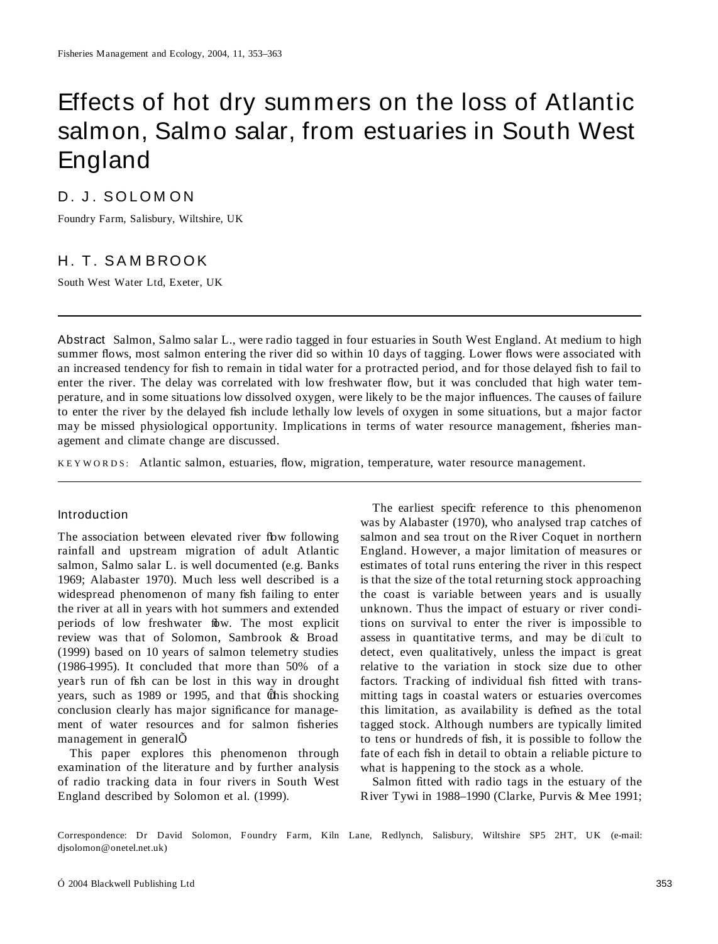## Effects of hot dry summers on the loss of Atlantic salmon, Salmo salar, from estuaries in South West England

## D. J. SOLOMON

Foundry Farm, Salisbury, Wiltshire, UK

## H. T. SAMBROOK

South West Water Ltd, Exeter, UK

Abstract Salmon, Salmo salar L., were radio tagged in four estuaries in South West England. At medium to high summer flows, most salmon entering the river did so within 10 days of tagging. Lower flows were associated with an increased tendency for fish to remain in tidal water for a protracted period, and for those delayed fish to fail to enter the river. The delay was correlated with low freshwater flow, but it was concluded that high water temperature, and in some situations low dissolved oxygen, were likely to be the major influences. The causes of failure to enter the river by the delayed fish include lethally low levels of oxygen in some situations, but a major factor may be missed physiological opportunity. Implications in terms of water resource management, fisheries management and climate change are discussed.

K E Y W O R D S: Atlantic salmon, estuaries, flow, migration, temperature, water resource management.

### Introduction

The association between elevated river flow following rainfall and upstream migration of adult Atlantic salmon, Salmo salar L. is well documented (e.g. Banks 1969; Alabaster 1970). Much less well described is a widespread phenomenon of many fish failing to enter the river at all in years with hot summers and extended periods of low freshwater flow. The most explicit review was that of Solomon, Sambrook & Broad (1999) based on 10 years of salmon telemetry studies (1986–1995). It concluded that more than 50% of a year's run of fish can be lost in this way in drought years, such as 1989 or 1995, and that  $\hat{\mathbf{u}}$  this shocking conclusion clearly has major significance for management of water resources and for salmon fisheries management in generalÕ.

This paper explores this phenomenon through examination of the literature and by further analysis of radio tracking data in four rivers in South West England described by Solomon et al. (1999).

The earliest specific reference to this phenomenon was by Alabaster (1970), who analysed trap catches of salmon and sea trout on the River Coquet in northern England. However, a major limitation of measures or estimates of total runs entering the river in this respect is that the size of the total returning stock approaching the coast is variable between years and is usually unknown. Thus the impact of estuary or river conditions on survival to enter the river is impossible to assess in quantitative terms, and may be difficult to detect, even qualitatively, unless the impact is great relative to the variation in stock size due to other factors. Tracking of individual fish fitted with transmitting tags in coastal waters or estuaries overcomes this limitation, as availability is defined as the total tagged stock. Although numbers are typically limited to tens or hundreds of fish, it is possible to follow the fate of each fish in detail to obtain a reliable picture to what is happening to the stock as a whole.

Salmon fitted with radio tags in the estuary of the River Tywi in 1988–1990 (Clarke, Purvis & Mee 1991;

Correspondence: Dr David Solomon, Foundry Farm, Kiln Lane, Redlynch, Salisbury, Wiltshire SP5 2HT, UK (e-mail: djsolomon@onetel.net.uk)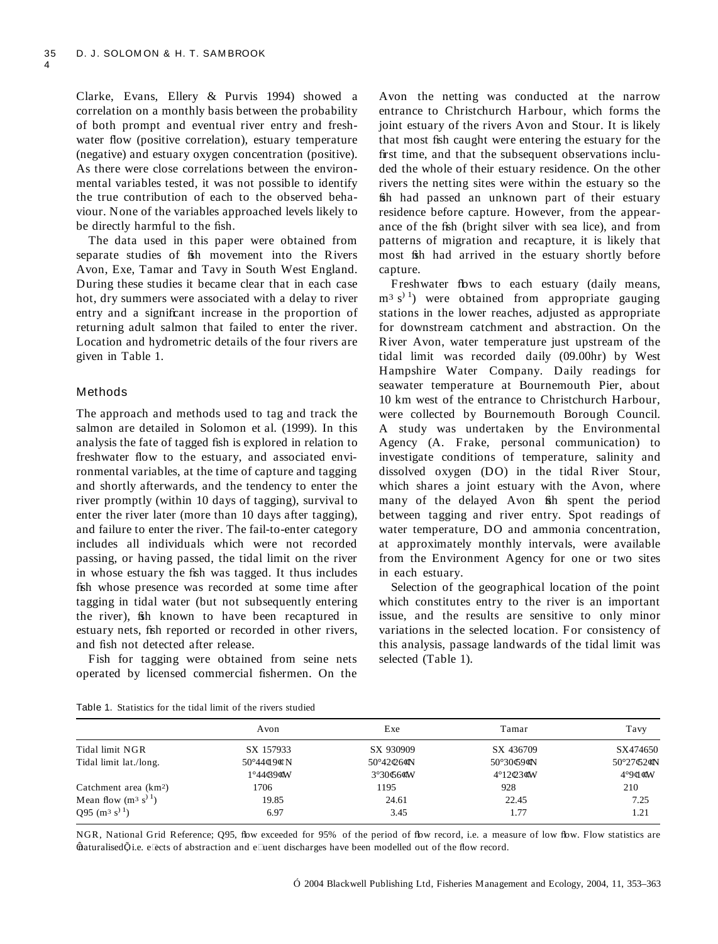Clarke, Evans, Ellery & Purvis 1994) showed a correlation on a monthly basis between the probability of both prompt and eventual river entry and freshwater flow (positive correlation), estuary temperature (negative) and estuary oxygen concentration (positive). As there were close correlations between the environmental variables tested, it was not possible to identify the true contribution of each to the observed behaviour. None of the variables approached levels likely to be directly harmful to the fish.

The data used in this paper were obtained from separate studies of fish movement into the Rivers Avon, Exe, Tamar and Tavy in South West England. During these studies it became clear that in each case hot, dry summers were associated with a delay to river entry and a significant increase in the proportion of returning adult salmon that failed to enter the river. Location and hydrometric details of the four rivers are given in Table 1.

#### Methods

The approach and methods used to tag and track the salmon are detailed in Solomon et al. (1999). In this analysis the fate of tagged fish is explored in relation to freshwater flow to the estuary, and associated environmental variables, at the time of capture and tagging and shortly afterwards, and the tendency to enter the river promptly (within 10 days of tagging), survival to enter the river later (more than 10 days after tagging), and failure to enter the river. The fail-to-enter category includes all individuals which were not recorded passing, or having passed, the tidal limit on the river in whose estuary the fish was tagged. It thus includes fish whose presence was recorded at some time after tagging in tidal water (but not subsequently entering the river), fish known to have been recaptured in estuary nets, fish reported or recorded in other rivers, and fish not detected after release.

Fish for tagging were obtained from seine nets operated by licensed commercial fishermen. On the

Avon the netting was conducted at the narrow entrance to Christchurch Harbour, which forms the joint estuary of the rivers Avon and Stour. It is likely that most fish caught were entering the estuary for the first time, and that the subsequent observations included the whole of their estuary residence. On the other rivers the netting sites were within the estuary so the fish had passed an unknown part of their estuary residence before capture. However, from the appearance of the fish (bright silver with sea lice), and from patterns of migration and recapture, it is likely that most fish had arrived in the estuary shortly before capture.

Freshwater flows to each estuary (daily means,  $\text{m}^3$  s<sup>3</sup><sup>1</sup>) were obtained from appropriate gauging stations in the lower reaches, adjusted as appropriate for downstream catchment and abstraction. On the River Avon, water temperature just upstream of the tidal limit was recorded daily (09.00hr) by West Hampshire Water Company. Daily readings for seawater temperature at Bournemouth Pier, about 10 km west of the entrance to Christchurch Harbour, were collected by Bournemouth Borough Council. A study was undertaken by the Environmental Agency (A. Frake, personal communication) to investigate conditions of temperature, salinity and dissolved oxygen (DO) in the tidal River Stour, which shares a joint estuary with the Avon, where many of the delayed Avon fish spent the period between tagging and river entry. Spot readings of water temperature, DO and ammonia concentration, at approximately monthly intervals, were available from the Environment Agency for one or two sites in each estuary.

Selection of the geographical location of the point which constitutes entry to the river is an important issue, and the results are sensitive to only minor variations in the selected location. For consistency of this analysis, passage landwards of the tidal limit was selected (Table 1).

| Table 1. Statistics for the tidal limit of the rivers studied |  |
|---------------------------------------------------------------|--|
|---------------------------------------------------------------|--|

|                                        | Avon               | Exe        | Tamar              | Tavy       |
|----------------------------------------|--------------------|------------|--------------------|------------|
| Tidal limit NGR                        | SX 157933          | SX 930909  | SX 436709          | SX474650   |
| Tidal limit lat./long.                 | $50^{\circ}44d9wN$ | 50°42¢26¢N | 50°30¢59¢N         | 50°27¢52¢N |
|                                        | 1°44¢89¢W          | 3°30¢56¢W  | $4^{\circ}12@3$ ¢W | 4°9¢l øM   |
| Catchment area (km <sup>2</sup> )      | 1706               | 1195       | 928                | 210        |
| Mean flow $(m^3 s)^{1}$ )              | 19.85              | 24.61      | 22.45              | 7.25       |
| Q95 (m <sup>3</sup> s <sup>) 1</sup> ) | 6.97               | 3.45       | 1.77               | 1.21       |
|                                        |                    |            |                    |            |

NGR, National Grid Reference; Q95, flow exceeded for 95% of the period of flow record, i.e. a measure of low flow. Flow statistics are  $\hat{\theta}$ aturalised $\tilde{\text{Q}}$ i.e. elects of abstraction and e $\square$ uent discharges have been modelled out of the flow record.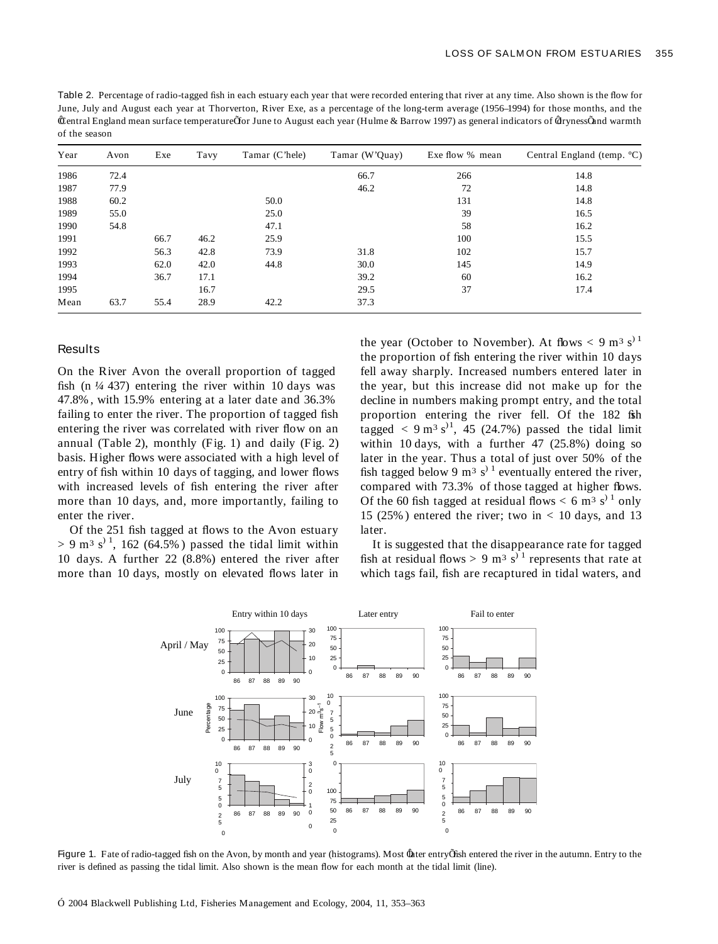Table 2. Percentage of radio-tagged fish in each estuary each year that were recorded entering that river at any time. Also shown is the flow for June, July and August each year at Thorverton, River Exe, as a percentage of the long-term average (1956–1994) for those months, and the **Ö**entral England mean surface temperatureÕor June to August each year (Hulme & Barrow 1997) as general indicators of ÄrynessÕand warmth o f t h e s e a s o n

| Year | Avon | Exe  | Tavy | Tamar (C'hele) | Tamar (W'Quay) | Exe flow % mean | Central England (temp. $°C$ ) |
|------|------|------|------|----------------|----------------|-----------------|-------------------------------|
| 1986 | 72.4 |      |      |                | 66.7           | 266             | 14.8                          |
| 1987 | 77.9 |      |      |                | 46.2           | 72              | 14.8                          |
| 1988 | 60.2 |      |      | 50.0           |                | 131             | 14.8                          |
| 1989 | 55.0 |      |      | 25.0           |                | 39              | 16.5                          |
| 1990 | 54.8 |      |      | 47.1           |                | 58              | 16.2                          |
| 1991 |      | 66.7 | 46.2 | 25.9           |                | 100             | 15.5                          |
| 1992 |      | 56.3 | 42.8 | 73.9           | 31.8           | 102             | 15.7                          |
| 1993 |      | 62.0 | 42.0 | 44.8           | 30.0           | 145             | 14.9                          |
| 1994 |      | 36.7 | 17.1 |                | 39.2           | 60              | 16.2                          |
| 1995 |      |      | 16.7 |                | 29.5           | 37              | 17.4                          |
| Mean | 63.7 | 55.4 | 28.9 | 42.2           | 37.3           |                 |                               |

#### **Results**

On the River Avon the overall proportion of tagged fish (n *¼* 437) entering the river within 10 days was 47.8% , with 15.9% entering at <sup>a</sup> later date and 36.3% failing to enter the river. The proportion of tagged fish entering the river was correlated with river flow on an annual (Table 2), monthly (Fig. 1) and daily (Fig. 2) basis. Higher flows were associated with a high level of entry of fish within <sup>10</sup> days of tagging, and lower flows with increased levels of fish entering the river after more than 10 days, and, more importantly, failing to enter the river.

Of the 251 fish tagged at flows to the Avon estuary  $> 9$  m<sup>3</sup> s<sup>2</sup><sup>1</sup>, 162 (64.5%) passed the tidal limit within 10 days. A further 22 (8.8%) entered the river after more than 10 days, mostly on elevated flows later in

the year (October to November). At flows  $\lt 9 \text{ m}^3 \text{ s}^3$ the proportion of fish entering the river within 10 days fell away sharply. Increased numbers entered later in the year, but this increase did not make up for the decline in numbers making prompt entry, and the total proportion entering the river fell. Of the 182 fish tagged < 9 m<sup>3</sup> s<sup>31</sup>, 45 (24.7%) passed the tidal limit within 10 days, with a further 47 (25.8%) doing so later in the year. Thus a total of just over 50% of the fish tagged below 9 m<sup>3</sup> s<sup> $)$ 1</sup> eventually entered the river, compared with 73.3% of those tagged at higher flows. Of the 60 fish tagged at residual flows  $\lt$  6 m<sup>3</sup> s<sup>) 1</sup> only 15 (25%) entered the river; two in  $\lt$  10 days, and 13 later.

It is suggested that the disappearance rate for tagged fish at residual flows > 9 m<sup>3</sup> s<sup>3</sup> represents that rate at which tags fail, fish are recaptured in tidal waters, and



Figure 1. Fate of radio-tagged fish on the Avon, by month and year (histograms). Most Cater entry Gish entered the river in the autumn. Entry to the river is defined as passing the tidal limit. Also shown is the mean flow for each month at the tidal limit (line).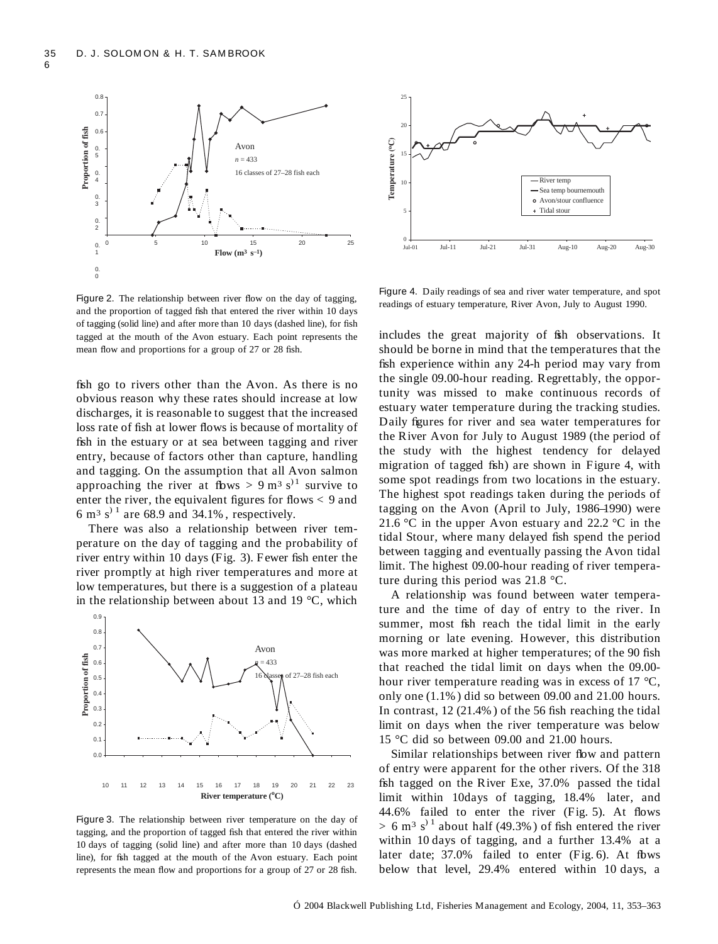

Figure 2. The relationship between river flow on the day of tagging, and the proportion of tagged fish that entered the river within 10 days of tagging (solid line) and after more than 10 days (dashed line), for fish tagged at the mouth of the Avon estuary. Each point represents the mean flow and proportions for a group of 27 or 28 fish.

fish go to rivers other than the Avon. As there is no obvious reason why these rates should increase at low discharges, it is reasonable to suggest that the increased loss rate of fish at lower flows is because of mortality of fish in the estuary or at sea between tagging and river entry, because of factors other than capture, handling and tagging. On the assumption that all Avon salmon approaching the river at fbws > 9 m<sup>3</sup> s<sup>1</sup> survive to enter the river, the equivalent figures for flows  $< 9$  and 6 m<sup>3</sup> s<sup> $>1$ </sup> are 68.9 and 34.1%, respectively.

There was also a relationship between river temperature on the day of tagging and the probability of<br>river entry within 10 days (Fig. 3). Fewer fish enter the<br>river promptly at high river temperatures and more at<br>low temperatures, but there is a suggestion of a platea



Figure 3. The relationship between river temperature on the day of tagging, and the proportion of tagged fish that entered the river within 10 days of tagging (solid line) and after more than 10 days (dashed line), for fish tagged at the mouth of the Avon estuary. Each point represents the mean flow and proportions for a group of 27 or 28 fish.



Figure 4. Daily readings of sea and river water temperature, and spot readings of estuary temperature, River Avon, July to August 1990.

includes the great majority of fish observations. It should be borne in mind that the temperatures that the fish experience within any 24-h period may vary from the single 09.00-hour reading. Regrettably, the opportunity was missed to make continuous records of<br>estuary water temperature during the tracking studies.<br>Daily figures for river and sea water temperatures for<br>the River Avon for July to August 1989 (the period of<br>the study 21.6 °C in the upper Avon estuary and 22.2 °C in the tidal Stour, where many delayed fish spend the period between tagging and eventually passing the Avon tidal limit. The highest 09.00-hour reading of river temperature during this period was 21.8 °C.

A relationship was found between water tempera ture and the time of day of entry to the river. In<br>summer, most fish reach the tidal limit in the early<br>morning or late evening. However, this distribution<br>was more marked at higher temperatures; of the 90 fish<br>that reach 15 °C did so between 09.00 and 21.00 hours.

Similar relationships between river flow and pattern of entry were apparent for the other rivers. Of the 318 fish tagged on the River Exe, 37.0% passed the tidal limit within 10days of tagging, 18.4% later, and 44.6% failed to enter the river (Fig. 5). At flows  $> 6$  m<sup>3</sup> s<sup>3</sup> <sup>1</sup> about half (49.3%) of fish entered the river within 10 days of tagging, and a further 13.4% at a later date; 37.0% failed to enter (Fig. 6). At fbws below that level, 29.4% entered within 10 days, a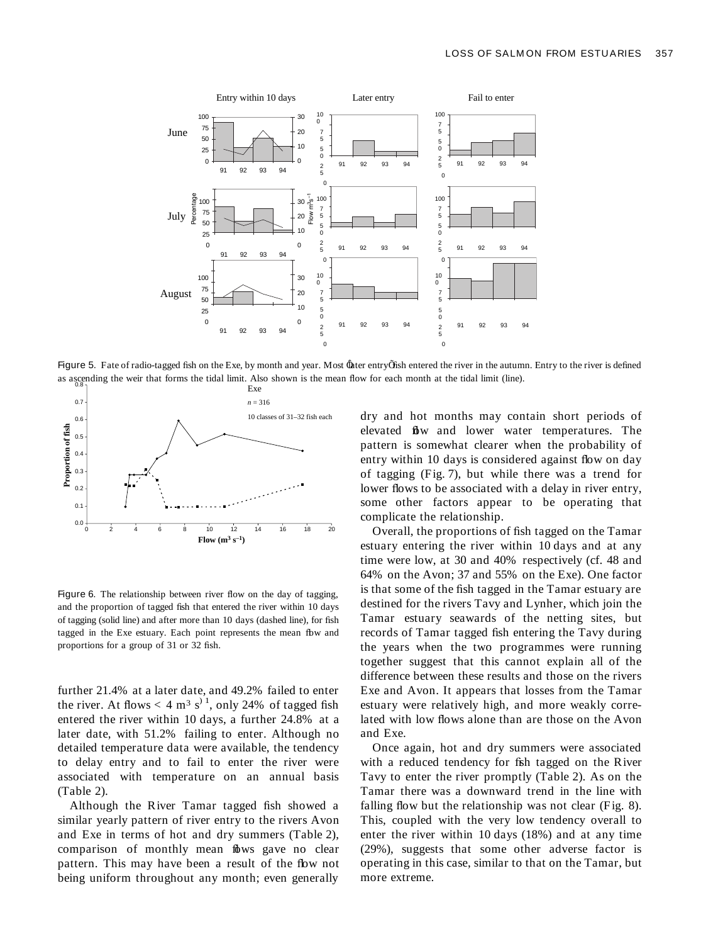

Figure 5. Fate of radio-tagged fish on the Exe, by month and year. Most Cater entry Ofish entered the river in the autumn. Entry to the river is defined as ascending the weir that forms the tidal limit. Also shown is the mean flow for each month at the tidal limit (line).



Figure 6. The relationship between river flow on the day of tagging, and the proportion of tagged fish that entered the river within 10 days of tagging (solid line) and after more than 10 days (dashed line), for fish tagged in the Exe estuary. Each point represents the mean fbw and proportions for a group of 31 or 32 fish.

further 21.4% at a later date, and 49.2% failed to enter the river. At flows  $\lt$  4 m<sup>3</sup> s<sup>3</sup><sup>1</sup>, only 24% of tagged fish entered the river within 10 days, a further 24.8% at a later date, with 51.2% failing to enter. Although no detailed temperature data were available, the tendency to delay entry and to fail to enter the river were associated with temperature on an annual basis ( T a ble 2).

Although the River Tamar tagged fish showed a similar yearly pattern of river entry to the rivers Avon and Exe in terms of hot and dry summers (Table 2), comparison of monthly mean flows gave no clear pattern. This may have been a result of the flow not being uniform throughout any month; even generally

dry and hot months may contain short periods of elevated flow and lower water temperatures. The pattern is somewhat clearer when the probability of entry within 10 days is considered against flow on day of tagging (Fig. 7), but while there was a trend for lower flows to be associated with a delay in river entry, some other factors appear to be operating that complicate the relationship.

Overall, the proportions of fish tagged on the Tamar estuary entering the river within 10 days and at any time were low, at 30 and 40% respectively (cf. 48 and 64% on the Avon; 37 and 55% on the Exe). One factor is that some of the fish tagged in the Tamar estuary are destined for the rivers Tavy and Lynher, which join the Tamar estuary seawards of the netting sites, but records of Tamar tagged fish entering the Tavy during the years when the two programmes were running together suggest that this cannot explain all of the difference between these results and those on the rivers Exe and Avon. It appears that losses from the Tamar estuary were relatively high, and more weakly correlated with low flows alone than are those on the Avon and Exe.

Once again, hot and dry summers were associated with a reduced tendency for fish tagged on the River<br>Tavy to enter the river promptly (Table 2). As on the<br>Tamar there was a downward trend in the line with<br>falling flow but the relationship was not clear (Fig. 8).<br>This, c (29%), suggests that some other adverse factor is operating in this case, similar to that on the Tamar, but more extreme.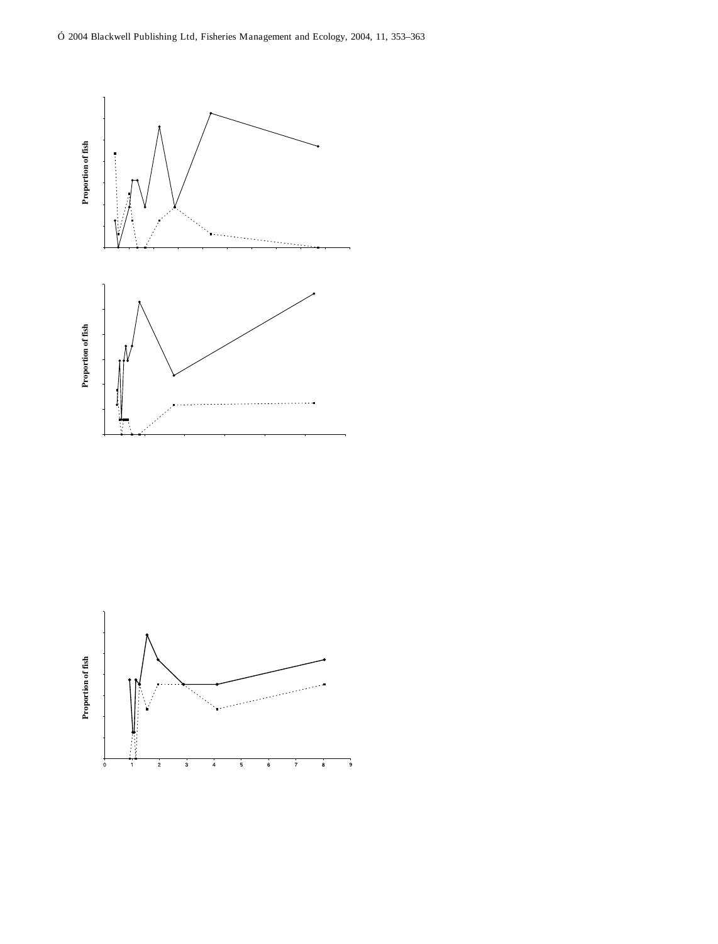

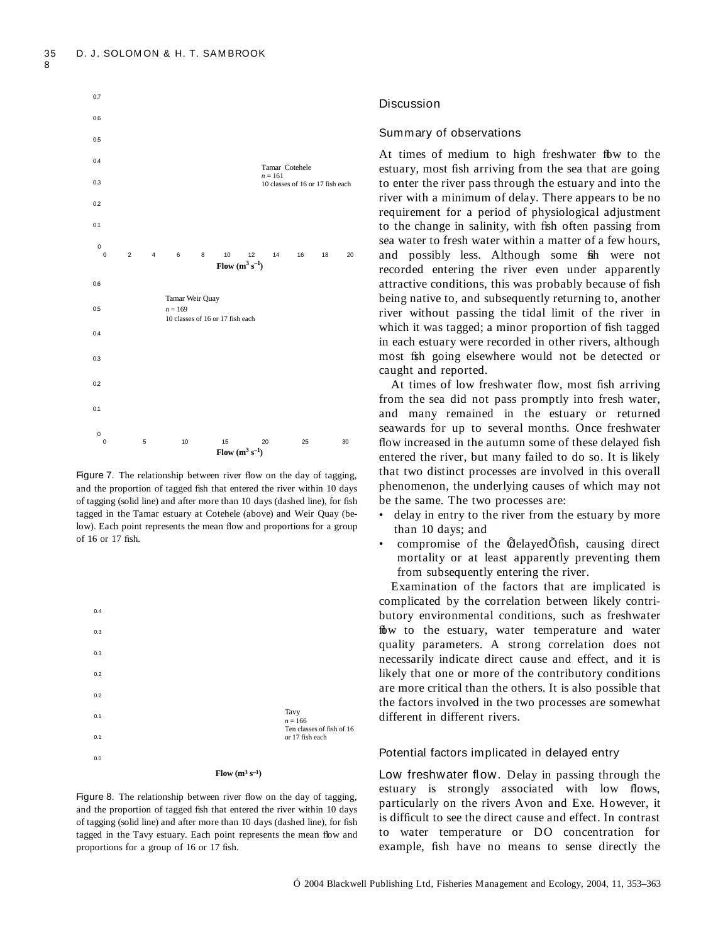

Figure 7. The relationship between river flow on the day of tagging, and the proportion of tagged fish that entered the river within 10 days of tagging (solid line) and after more than 10 days (dashed line), for fish tagged in the Tamar estuary at Cotehele (above) and Weir Quay (below). Each point represents the mean flow and proportions for a group of 16 or 17 fish.



#### $Flow(m^3 s^{-1})$

Figure 8. The relationship between river flow on the day of tagging, and the proportion of tagged fish that entered the river within 10 days of tagging (solid line) and after more than 10 days (dashed line), for fish tagged in the Tavy estuary. Each point represents the mean flow and proportions for a group of 16 or 17 fish.

#### **Discussion**

#### Summary of observations

At times of medium to high freshwater flow to the estuary, most fish arriving from the sea that are going to enter the river pass through the estuary and into the river with a minimum of delay. There appears to be no requirement for a period of physiological adjustment to the change in salinity, with fish often passing from sea water to fresh water within a matter of a few hours, and possibly less. Although some fil were not recorded entering the river even under apparently attractive conditions, this was probably because of fish being native to, and subsequently returning to, another river without passing the tidal limit of the river in which it was tagged; a minor proportion of fish tagged in each estuary were recorded in other rivers, although most fish going elsewhere would not be detected or caught and reported.

At times of low freshwater flow, most fish arriving from the sea did not pass promptly into fresh water, and many remained in the estuary or returned seawards for up to several months. Once freshwater flow increased in the autumn some of these delayed fish entered the river, but many failed to do so. It is likely that two distinct processes are involved in this overall phenomenon, the underlying causes of which may not be the same. The two processes are:

- delay in entry to the river from the estuary by more than 10 days; and
- compromise of the ÔdelayedÕfish, causing direct mortality or at least apparently preventing them from subsequently entering the river.

Examination of the factors that are implicated is complicated by the correlation between likely contributory environmental conditions, such as freshwater flow to the estuary, water temperature and water quality parameters. A strong correlation does not necessarily indicate direct cause and effect, and it is likely that one or more of the contributory conditions are more critical than the others. It is also possible that the factors involved in the two processes are somewhat different in different rivers.

#### Potential factors implicated in delayed entry

Low freshwater flow. Delay in passing through the estuary is strongly associated with low flows, particularly on the rivers Avon and Exe. However, it is difficult to see the direct cause and effect. In contrast to water temperature or DO concentration for example, fish have no means to sense directly the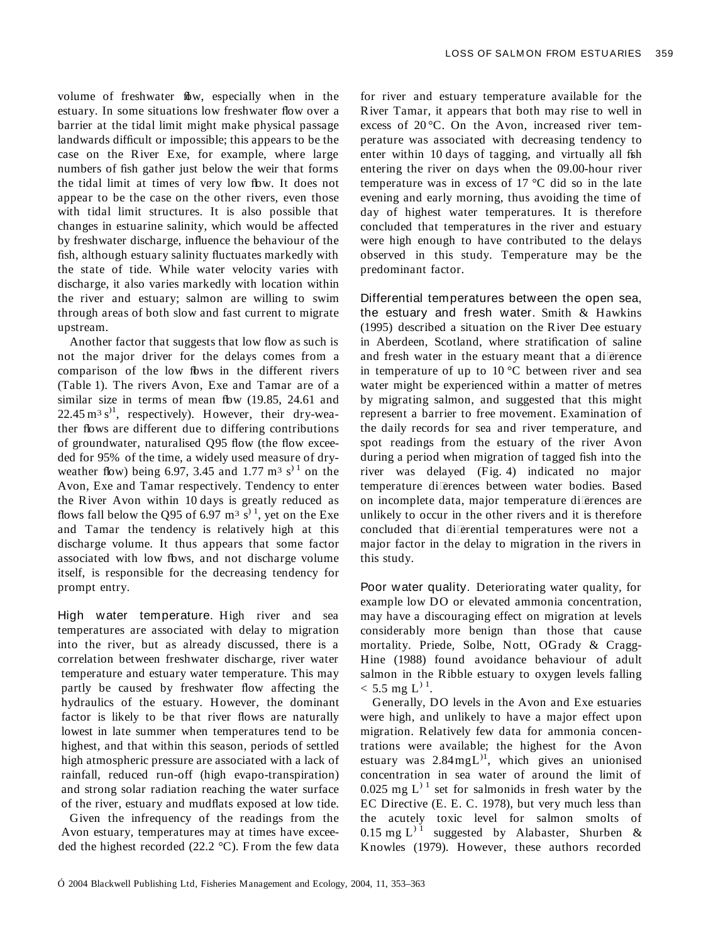volume of freshwater flow, especially when in the estuary. In some situations low freshwater flow over a barrier at the tidal limit might make physical passage landwards difficult or impossible; this appears to be the case on the River Exe, for example, where large numbers of fish gather just below the weir that forms the tidal limit at times of very low flow. It does not appear to be the case on the other rivers, even those with tidal limit structures. It is also possible that changes in estuarine salinity, which would be affected by freshwater discharge, influence the behaviour of the fish, although estuary salinity fluctuates markedly with the state of tide. While water velocity varies with discharge, it also varies markedly with location within the river and estuary; salmon are willing to swim through areas of both slow and fast current to migrate upstream.

Another factor that suggests that low flow as such is not the major driver for the delays comes from a comparison of the low flows in the different rivers (Table 1). The rivers Avon, Exe and Tamar are of a similar size in terms of mean fbw (19.85, 24.61 and  $22.45 \text{ m}^3 \text{ s}^3$ , respectively). However, their dry-weather flows are different due to differing contributions of groundwater, naturalised Q95 flow (the flow exceeded for 95% of the time, a widely used measure of dryweather flow) being 6.97, 3.45 and 1.77 m<sup>3</sup> s<sup> $)1$ </sup> on the Avon, Exe and Tamar respectively. Tendency to enter the River Avon within 10 days is greatly reduced as flows fall below the Q95 of 6.97 m<sup>3</sup> s<sup>2</sup>, yet on the Exe and Tamar the tendency is relatively high at this discharge volume. It thus appears that some factor associated with low fbws, and not discharge volume itself, is responsible for the decreasing tendency for prompt entry.

High water temperature. High river and sea temperatures are associated with delay to migration into the river, but as already discussed, there is a correlation between freshwater discharge, river water temperature and estuary water temperature. This may partly be caused by freshwater flow affecting the hydraulics of the estuary. However, the dominant factor is likely to be that river flows are naturally lowest in late summer when temperatures tend to be highest, and that within this season, periods of settled high atmospheric pressure are associated with a lack of rainfall, reduced run-off (high evapo-transpiration) and strong solar radiation reaching the water surface of the river, estuary and mudflats exposed at low tide.

Given the infrequency of the readings from the Avon estuary, temperatures may at times have exceeded the highest recorded (22.2 °C). From the few data

for river and estuary temperature available for the River Tamar, it appears that both may rise to well in excess of 20 °C. On the Avon, increased river temperature was associated with decreasing tendency to enter within 10 days of tagging, and virtually all fish entering the river on days when the 09.00-hour river temperature was in excess of 17 °C did so in the late evening and early morning, thus avoiding the time of day of highest water temperatures. It is therefore concluded that temperatures in the river and estuary were high enough to have contributed to the delays observed in this study. Temperature may be the predominant factor.

Differential temperatures between the open sea, the estuary and fresh water. Smith & Hawkins (1995) described a situation on the River Dee estuary in Aberdeen, Scotland, where stratification of saline and fresh water in the estuary meant that a difference in temperature of up to  $10^{\circ}$ C between river and sea water might be experienced within a matter of metres by migrating salmon, and suggested that this might represent a barrier to free movement. Examination of the daily records for sea and river temperature, and spot readings from the estuary of the river Avon during a period when migration of tagged fish into the river was delayed (Fig. 4) indicated no major temperature differences between water bodies. Based on incomplete data, major temperature differences are unlikely to occur in the other rivers and it is therefore concluded that differential temperatures were not a major factor in the delay to migration in the rivers in this study.

Poor water quality. Deteriorating water quality, for example low DO or elevated ammonia concentration, may have a discouraging effect on migration at levels considerably more benign than those that cause mortality. Priede, Solbe, Nott, OGrady & Cragg-Hine (1988) found avoidance behaviour of adult salmon in the Ribble estuary to oxygen levels falling  $< 5.5$  mg  $L^{1}$ .

Generally, DO levels in the Avon and Exe estuaries were high, and unlikely to have a major effect upon migration. Relatively few data for ammonia concentrations were available; the highest for the Avon estuary was  $2.84 \text{ mgL}^{1}$ , which gives an unionised concentration in sea water of around the limit of 0.025 mg  $L^{1}$  set for salmonids in fresh water by the EC Directive (E. E. C. 1978), but very much less than the acutely toxic level for salmon smolts of 0.15 mg L<sup> $)$  i</sup> suggested by Alabaster, Shurben & Knowles (1979). However, these authors recorded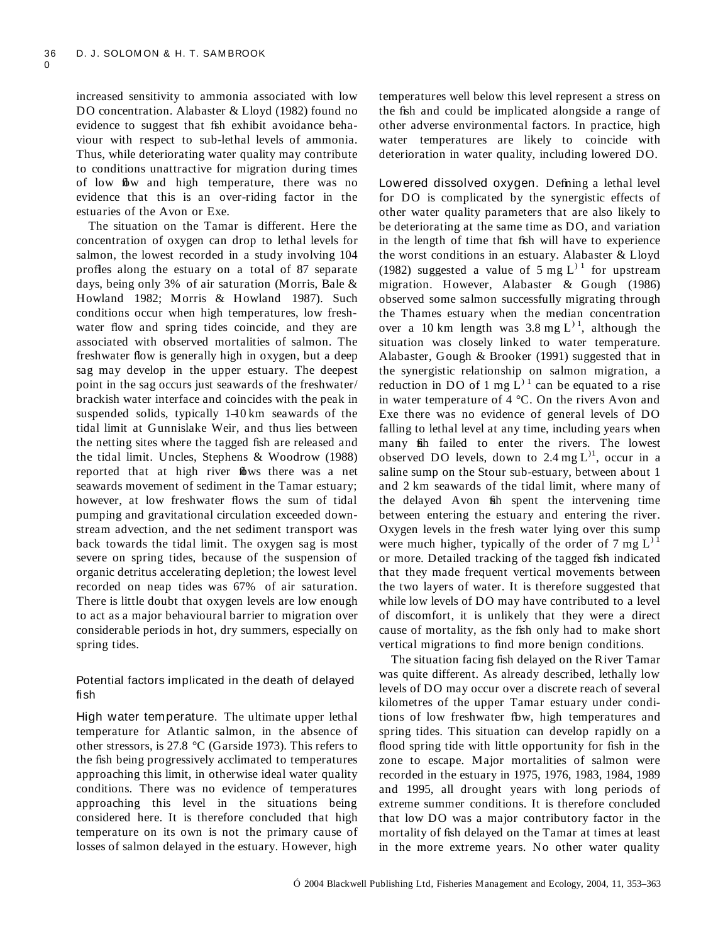increased sensitivity to ammonia associated with low DO concentration. Alabaster & Lloyd (1982) found no evidence to suggest that fish exhibit avoidance behaviour with respect to sub-lethal levels of ammonia. Thus, while deteriorating water quality may contribute to conditions unattractive for migration during times of low flow and high temperature, there was no evidence that this is an over-riding factor in the estuaries of the Avon or Exe.

The situation on the Tamar is different. Here the concentration of oxygen can drop to lethal levels for salmon, the lowest recorded in a study involving 104 profles along the estuary on a total of 87 separate days, being only 3% of air saturation (Morris, Bale & Howland 1982; Morris & Howland 1987). Such conditions occur when high temperatures, low freshwater flow and spring tides coincide, and they are associated with observed mortalities of salmon. The freshwater flow is generally high in oxygen, but a deep sag may develop in the upper estuary. The deepest point in the sag occurs just seawards of the freshwater/ brackish water interface and coincides with the peak in suspended solids, typically 1–10 km seawards of the tidal limit at Gunnislake Weir, and thus lies between the netting sites where the tagged fish are released and the tidal limit. Uncles, Stephens & Woodrow (1988) reported that at high river flows there was a net seawards movement of sediment in the Tamar estuary; however, at low freshwater flows the sum of tidal pumping and gravitational circulation exceeded downstream advection, and the net sediment transport was back towards the tidal limit. The oxygen sag is most severe on spring tides, because of the suspension of organic detritus accelerating depletion; the lowest level recorded on neap tides was 67% of air saturation. There is little doubt that oxygen levels are low enough to act as a major behavioural barrier to migration over considerable periods in hot, dry summers, especially on spring tides.

#### Potential factors implicated in the death of delayed fish

High water temperature. The ultimate upper lethal temperature for Atlantic salmon, in the absence of other stressors, is 27.8 °C (Garside 1973). This refers to the fish being progressively acclimated to temperatures approaching this limit, in otherwise ideal water quality conditions. There was no evidence of temperatures approaching this level in the situations being considered here. It is therefore concluded that high temperature on its own is not the primary cause of losses of salmon delayed in the estuary. However, high

temperatures well below this level represent a stress on the fish and could be implicated alongside a range of other adverse environmental factors. In practice, high water temperatures are likely to coincide with deterioration in water quality, including lowered DO.

Lowered dissolved oxygen. Defining a lethal level for DO is complicated by the synergistic effects of other water quality parameters that are also likely to be deteriorating at the same time as DO, and variation in the length of time that fish will have to experience the worst conditions in an estuary. Alabaster & Lloyd (1982) suggested a value of 5 mg  $L^{1}$  for upstream migration. However, Alabaster & Gough (1986) observed some salmon successfully migrating through the Thames estuary when the median concentration over a 10 km length was  $3.8 \text{ mg L}^{11}$ , although the situation was closely linked to water temperature. Alabaster, Gough & Brooker (1991) suggested that in the synergistic relationship on salmon migration, a reduction in DO of 1 mg  $\hat{L}$ <sup>1</sup> can be equated to a rise in water temperature of 4 °C. On the rivers Avon and Exe there was no evidence of general levels of DO falling to lethal level at any time, including years when many fih failed to enter the rivers. The lowest observed DO levels, down to 2.4 mg  $L^{1}$ , occur in a saline sump on the Stour sub-estuary, between about 1 and 2 km seawards of the tidal limit, where many of the delayed Avon fih spent the intervening time between entering the estuary and entering the river. Oxygen levels in the fresh water lying over this sump were much higher, typically of the order of 7 mg  $L^{1}$ or more. Detailed tracking of the tagged fish indicated that they made frequent vertical movements between the two layers of water. It is therefore suggested that while low levels of DO may have contributed to a level of discomfort, it is unlikely that they were a direct cause of mortality, as the fish only had to make short vertical migrations to find more benign conditions.

The situation facing fish delayed on the River Tamar was quite different. As already described, lethally low levels of DO may occur over a discrete reach of several kilometres of the upper Tamar estuary under conditions of low freshwater fbw, high temperatures and spring tides. This situation can develop rapidly on a flood spring tide with little opportunity for fish in the zone to escape. Major mortalities of salmon were recorded in the estuary in 1975, 1976, 1983, 1984, 1989 and 1995, all drought years with long periods of extreme summer conditions. It is therefore concluded that low DO was a major contributory factor in the mortality of fish delayed on the Tamar at times at least in the more extreme years. No other water quality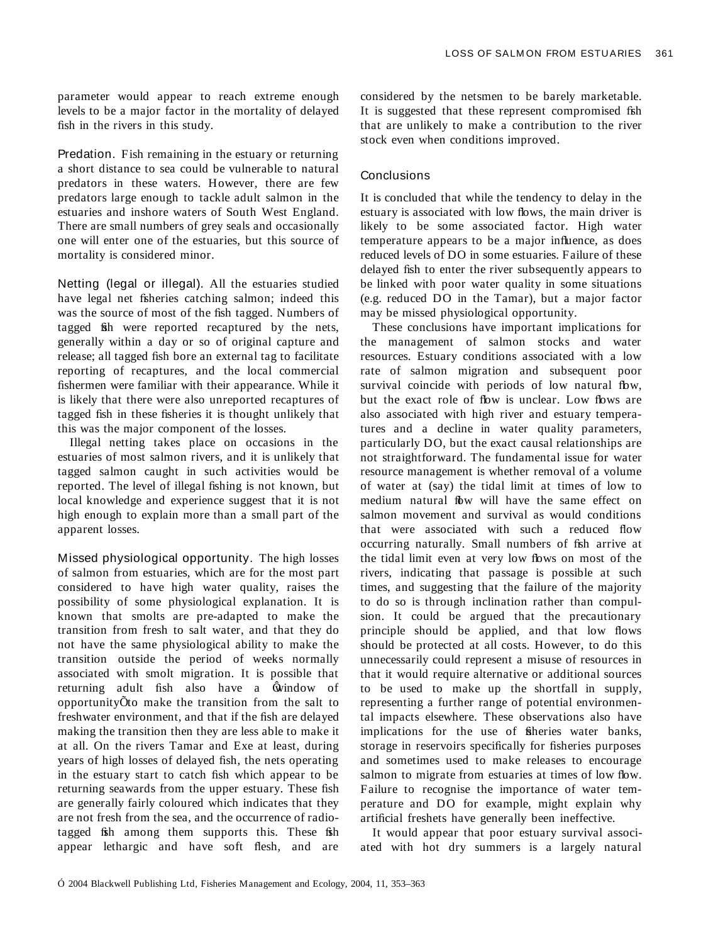parameter would appear to reach extreme enough levels to be a major factor in the mortality of delayed fish in the rivers in this study.

Predation. Fish remaining in the estuary or returning a short distance to sea could be vulnerable to natural predators in these waters. However, there are few predators large enough to tackle adult salmon in the estuaries and inshore waters of South West England. There are small numbers of grey seals and occasionally one will enter one of the estuaries, but this source of mortality is considered minor.

Netting (legal or illegal). All the estuaries studied have legal net fisheries catching salmon; indeed this was the source of most of the fish tagged. Numbers of tagged fish were reported recaptured by the nets, generally within a day or so of original capture and release; all tagged fish bore an external tag to facilitate reporting of recaptures, and the local commercial fishermen were familiar with their appearance. While it is likely that there were also unreported recaptures of tagged fish in these fisheries it is thought unlikely that this was the major component of the losses.

Illegal netting takes place on occasions in the estuaries of most salmon rivers, and it is unlikely that tagged salmon caught in such activities would be reported. The level of illegal fishing is not known, but local knowledge and experience suggest that it is not high enough to explain more than a small part of the apparent losses.

Missed physiological opportunity. The high losses of salmon from estuaries, which are for the most part considered to have high water quality, raises the possibility of some physiological explanation. It is known that smolts are pre-adapted to make the transition from fresh to salt water, and that they do not have the same physiological ability to make the transition outside the period of weeks normally associated with smolt migration. It is possible that returning adult fish also have a Ôwindow of opportunityÕto make the transition from the salt to freshwater environment, and that if the fish are delayed making the transition then they are less able to make it at all. On the rivers Tamar and Exe at least, during years of high losses of delayed fish, the nets operating in the estuary start to catch fish which appear to be returning seawards from the upper estuary. These fish are generally fairly coloured which indicates that they are not fresh from the sea, and the occurrence of radiotagged fish among them supports this. These fish appear lethargic and have soft flesh, and are

considered by the netsmen to be barely marketable. It is suggested that these represent compromised fish that are unlikely to make a contribution to the river stock even when conditions improved.

#### Conclusions

It is concluded that while the tendency to delay in the estuary is associated with low flows, the main driver is likely to be some associated factor. High water temperature appears to be a major influence, as does reduced levels of DO in some estuaries. Failure of these delayed fish to enter the river subsequently appears to be linked with poor water quality in some situations (e.g. reduced DO in the Tamar), but a major factor may be missed physiological opportunity.

These conclusions have important implications for the management of salmon stocks and water resources. Estuary conditions associated with a low rate of salmon migration and subsequent poor survival coincide with periods of low natural flow, but the exact role of flow is unclear. Low flows are also associated with high river and estuary temperatures and a decline in water quality parameters, particularly DO, but the exact causal relationships are not straightforward. The fundamental issue for water resource management is whether removal of a volume of water at (say) the tidal limit at times of low to medium natural flow will have the same effect on salmon movement and survival as would conditions that were associated with such a reduced flow occurring naturally. Small numbers of fish arrive at the tidal limit even at very low flows on most of the rivers, indicating that passage is possible at such times, and suggesting that the failure of the majority to do so is through inclination rather than compulsion. It could be argued that the precautionary principle should be applied, and that low flows should be protected at all costs. However, to do this unnecessarily could represent a misuse of resources in that it would require alternative or additional sources to be used to make up the shortfall in supply, representing a further range of potential environmental impacts elsewhere. These observations also have implications for the use of fisheries water banks, storage in reservoirs specifically for fisheries purposes and sometimes used to make releases to encourage salmon to migrate from estuaries at times of low flow. Failure to recognise the importance of water temperature and DO for example, might explain why artificial freshets have generally been ineffective.

It would appear that poor estuary survival associated with hot dry summers is a largely natural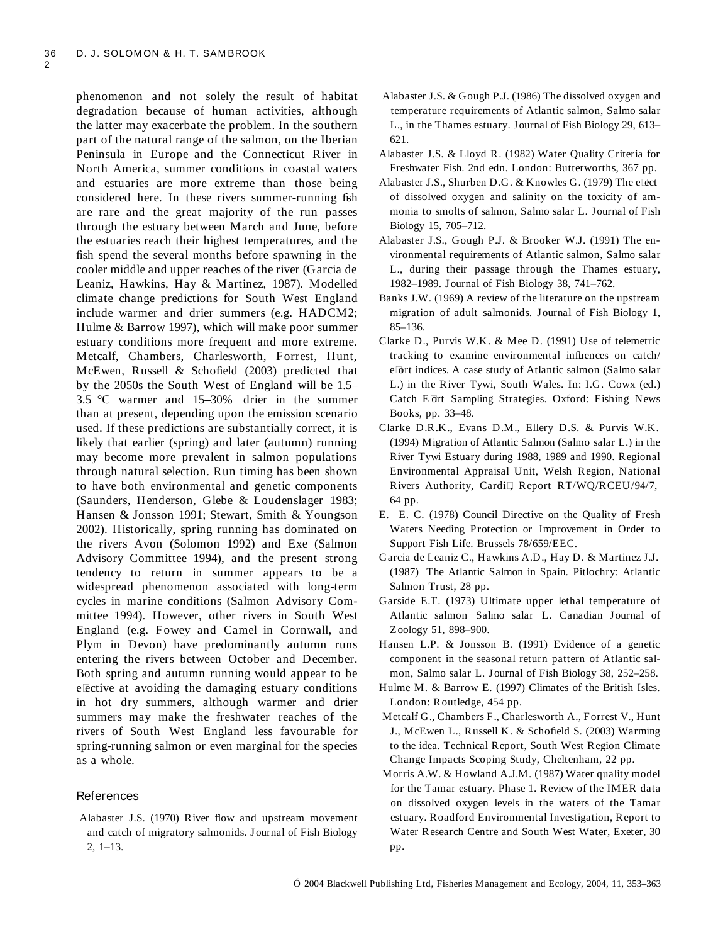phenomenon and not solely the result of habitat degradation because of human activities, although the latter may exacerbate the problem. In the southern part of the natural range of the salmon, on the Iberian Peninsula in Europe and the Connecticut River in North America, summer conditions in coastal waters and estuaries are more extreme than those being considered here. In these rivers summer-running fish are rare and the great majority of the run passes through the estuary between March and June, before the estuaries reach their highest temperatures, and the fish spend the several months before spawning in the cooler middle and upper reaches of the river (Garcia de Leaniz, Hawkins, Hay & Martinez, 1987). Modelled climate change predictions for South West England include warmer and drier summers (e.g. HADCM2; Hulme & Barrow 1997), which will make poor summer estuary conditions more frequent and more extreme. Metcalf, Chambers, Charlesworth, Forrest, Hunt, McEwen, Russell & Schofield (2003) predicted that by the 2050s the South West of England will be 1.5– 3.5 °C warmer and 15–30% drier in the summer than at present, depending upon the emission scenario used. If these predictions are substantially correct, it is likely that earlier (spring) and later (autumn) running may become more prevalent in salmon populations through natural selection. Run timing has been shown to have both environmental and genetic components (Saunders, Henderson, Glebe & Loudenslager 1983; Hansen & Jonsson 1991; Stewart, Smith & Youngson 2002). Historically, spring running has dominated on the rivers Avon (Solomon 1992) and Exe (Salmon Advisory Committee 1994), and the present strong tendency to return in summer appears to be a widespread phenomenon associated with long-term cycles in marine conditions (Salmon Advisory Committee 1994). However, other rivers in South West England (e.g. Fowey and Camel in Cornwall, and Plym in Devon) have predominantly autumn runs entering the rivers between October and December. Both spring and autumn running would appear to be effective at avoiding the damaging estuary conditions in hot dry summers, although warmer and drier summers may make the freshwater reaches of the rivers of South West England less favourable for spring-running salmon or even marginal for the species as a whole.

#### References

Alabaster J.S. (1970) River flow and upstream movement and catch of migratory salmonids. Journal of Fish Biology 2, 1–13.

- Alabaster J.S. & Gough P.J. (1986) The dissolved oxygen and temperature requirements of Atlantic salmon, Salmo salar L., in the Thames estuary. Journal of Fish Biology 29, 613– 621.
- Alabaster J.S. & Lloyd R. (1982) Water Quality Criteria for Freshwater Fish. 2nd edn. London: Butterworths, 367 pp.
- Alabaster J.S., Shurben D.G. & Knowles G. (1979) The effect of dissolved oxygen and salinity on the toxicity of ammonia to smolts of salmon, Salmo salar L. Journal of Fish Biology 15, 705–712.
- Alabaster J.S., Gough P.J. & Brooker W.J. (1991) The environmental requirements of Atlantic salmon, Salmo salar L., during their passage through the Thames estuary, 1982–1989. Journal of Fish Biology 38, 741–762.
- Banks J.W. (1969) A review of the literature on the upstream migration of adult salmonids. Journal of Fish Biology 1, 85–136.
- Clarke D., Purvis W.K. & Mee D. (1991) Use of telemetric tracking to examine environmental influences on catch/ effort indices. A case study of Atlantic salmon (Salmo salar L.) in the River Tywi, South Wales. In: I.G. Cowx (ed.) Catch Effort Sampling Strategies. Oxford: Fishing News Books, pp. 33–48.
- Clarke D.R.K., Evans D.M., Ellery D.S. & Purvis W.K. (1994) Migration of Atlantic Salmon (Salmo salar L.) in the River Tywi Estuary during 1988, 1989 and 1990. Regional Environmental Appraisal Unit, Welsh Region, National Rivers Authority, Cardi<sub>, Report RT/WQ/RCEU/94/7,</sub> 64 pp.
- E. E. C. (1978) Council Directive on the Quality of Fresh Waters Needing Protection or Improvement in Order to Support Fish Life. Brussels 78/659/EEC.
- Garcia de Leaniz C., Hawkins A.D., Hay D. & Martinez J.J. (1987) The Atlantic Salmon in Spain. Pitlochry: Atlantic Salmon Trust, 28 pp.
- Garside E.T. (1973) Ultimate upper lethal temperature of Atlantic salmon Salmo salar L. Canadian Journal of Zoology 51, 898–900.
- Hansen L.P. & Jonsson B. (1991) Evidence of a genetic component in the seasonal return pattern of Atlantic salmon, Salmo salar L. Journal of Fish Biology 38, 252–258.
- Hulme M. & Barrow E. (1997) Climates of the British Isles. London: Routledge, 454 pp.
- Metcalf G., Chambers F., Charlesworth A., Forrest V., Hunt J., McEwen L., Russell K. & Schofield S. (2003) Warming to the idea. Technical Report, South West Region Climate Change Impacts Scoping Study, Cheltenham, 22 pp.
- Morris A.W. & Howland A.J.M. (1987) Water quality model for the Tamar estuary. Phase 1. Review of the IMER data on dissolved oxygen levels in the waters of the Tamar estuary. Roadford Environmental Investigation, Report to Water Research Centre and South West Water, Exeter, 30 pp.